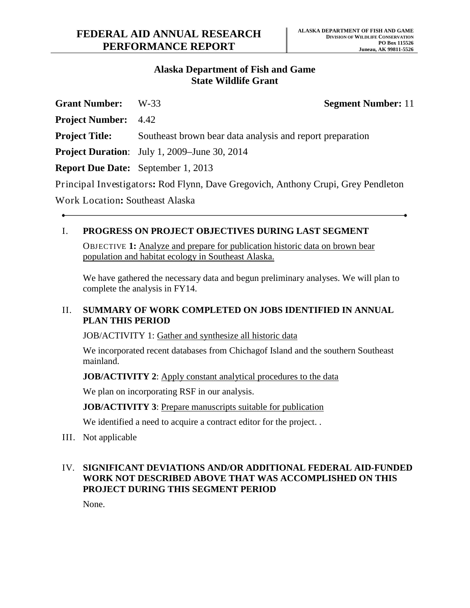### **Alaska Department of Fish and Game State Wildlife Grant**

| <b>Grant Number:</b>                   | W-33                                                                              | <b>Segment Number: 11</b> |
|----------------------------------------|-----------------------------------------------------------------------------------|---------------------------|
| <b>Project Number:</b> 4.42            |                                                                                   |                           |
| <b>Project Title:</b>                  | Southeast brown bear data analysis and report preparation                         |                           |
|                                        | <b>Project Duration:</b> July 1, 2009–June 30, 2014                               |                           |
|                                        | <b>Report Due Date:</b> September 1, 2013                                         |                           |
|                                        | Principal Investigators: Rod Flynn, Dave Gregovich, Anthony Crupi, Grey Pendleton |                           |
| <b>Work Location: Southeast Alaska</b> |                                                                                   |                           |

### I. **PROGRESS ON PROJECT OBJECTIVES DURING LAST SEGMENT**

OBJ ECTIVE **1:** Analyze and prepare for publication historic data on brown bear population and habitat ecology in Southeast Alaska.

We have gathered the necessary data and begun preliminary analyses. We will plan to complete the analysis in FY14.

### II. **SUMMARY OF WORK COMPLETED ON JOBS IDENTIFIED IN ANNUAL PLAN THIS PERIOD**

JOB/ACTIVITY 1: Gather and synthesize all historic data

We incorporated recent databases from Chichagof Island and the southern Southeast mainland.

**JOB/ACTIVITY 2:** Apply constant analytical procedures to the data

We plan on incorporating RSF in our analysis.

**JOB/ACTIVITY 3: Prepare manuscripts suitable for publication** 

We identified a need to acquire a contract editor for the project. .

III. Not applicable

## IV. **SIGNIFICANT DEVIATIONS AND/OR ADDITIONAL FEDERAL AID-FUNDED WORK NOT DESCRIBED ABOVE THAT WAS ACCOMPLISHED ON THIS PROJECT DURING THIS SEGMENT PERIOD**

None.